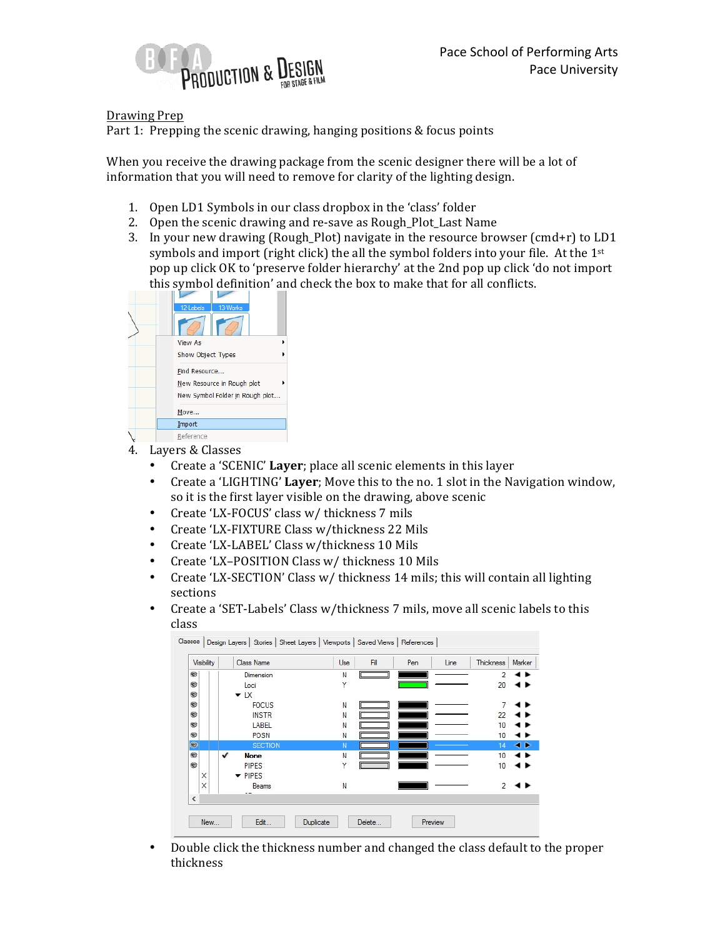

## Drawing Prep

Part 1: Prepping the scenic drawing, hanging positions  $&$  focus points

When you receive the drawing package from the scenic designer there will be a lot of information that you will need to remove for clarity of the lighting design.

- 1. Open LD1 Symbols in our class dropbox in the 'class' folder
- 2. Open the scenic drawing and re-save as Rough Plot Last Name
- 3. In your new drawing (Rough\_Plot) navigate in the resource browser (cmd+r) to LD1 symbols and import (right click) the all the symbol folders into your file. At the  $1^{st}$ pop up click OK to 'preserve folder hierarchy' at the 2nd pop up click 'do not import this symbol definition' and check the box to make that for all conflicts.

| 12-Labels<br>13-Works           |
|---------------------------------|
|                                 |
| <b>View As</b><br>١             |
| Show Object Types               |
| Find Resource                   |
| New Resource in Rough plot      |
| New Symbol Folder in Rough plot |
| Move                            |
| Import                          |
| Reference                       |

- 4. Layers & Classes
	- Create a 'SCENIC' Laver; place all scenic elements in this layer
	- Create a 'LIGHTING' Layer; Move this to the no. 1 slot in the Navigation window, so it is the first layer visible on the drawing, above scenic
	- Create 'LX-FOCUS' class w/ thickness 7 mils
	- Create 'LX-FIXTURE Class w/thickness 22 Mils
	- Create 'LX-LABEL' Class w/thickness 10 Mils
	- Create 'LX-POSITION Class w/ thickness 10 Mils
	- Create 'LX-SECTION' Class w/ thickness 14 mils; this will contain all lighting sections
	- Create a 'SET-Labels' Class w/thickness 7 mils, move all scenic labels to this class

| <b>Visibility</b> | <b>Class Name</b>           | Use | Fill<br>Pen | Line | Thickness                | Marker |
|-------------------|-----------------------------|-----|-------------|------|--------------------------|--------|
| ⊛                 | Dimension                   | N   |             |      |                          | . .    |
| ⊛                 | Loci                        | Y   |             |      | 20                       |        |
| ⊛                 | $\blacktriangleright$ LX    |     |             |      |                          |        |
| ⊛                 | <b>FOCUS</b>                | N   |             |      |                          |        |
| ⊛                 | <b>INSTR</b>                | N   |             |      | 22                       |        |
| ⊛                 | LABEL                       | N   |             |      | 10                       |        |
| ⊛                 | POSN                        | N   |             |      | 10                       | .,     |
| $\circ$           | <b>SECTION</b>              | N   |             |      | 14                       | ◂      |
| ⊛                 | ✓<br><b>None</b>            | N   |             |      | 10                       | .,     |
| ⊛                 | <b>PIPES</b>                | Y   |             |      | 10                       |        |
| ×                 | $\blacktriangleright$ PIPES |     |             |      |                          |        |
| $\times$          | Beams                       | N   |             |      | $\overline{\phantom{0}}$ |        |
| $\,<$             | --                          |     |             |      |                          |        |

• Double click the thickness number and changed the class default to the proper thickness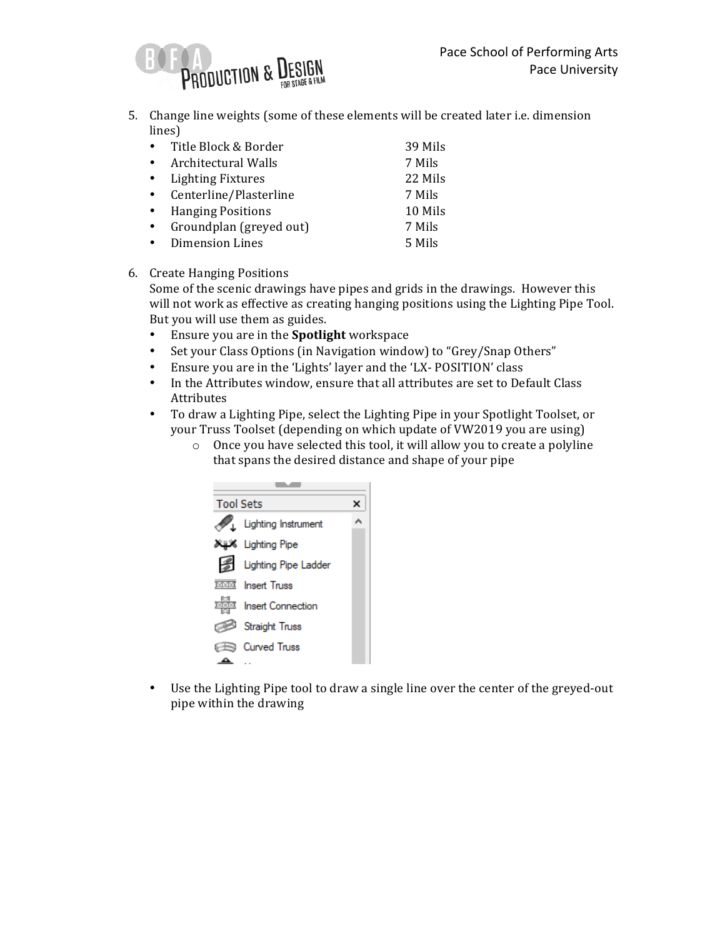

5. Change line weights (some of these elements will be created later i.e. dimension lines)

| $\bullet$ | Title Block & Border     | 39 Mils |
|-----------|--------------------------|---------|
|           | Architectural Walls      | 7 Mils  |
|           | <b>Lighting Fixtures</b> | 22 Mils |
|           | Centerline/Plasterline   | 7 Mils  |
|           | <b>Hanging Positions</b> | 10 Mils |
|           | Groundplan (greyed out)  | 7 Mils  |
|           | <b>Dimension Lines</b>   | 5 Mils  |

6. Create Hanging Positions

Some of the scenic drawings have pipes and grids in the drawings. However this will not work as effective as creating hanging positions using the Lighting Pipe Tool. But you will use them as guides.

- Ensure you are in the **Spotlight** workspace
- Set your Class Options (in Navigation window) to "Grey/Snap Others"
- Ensure you are in the 'Lights' layer and the 'LX- POSITION' class
- In the Attributes window, ensure that all attributes are set to Default Class Attributes
- To draw a Lighting Pipe, select the Lighting Pipe in your Spotlight Toolset, or your Truss Toolset (depending on which update of VW2019 you are using)
	- $\circ$  Once you have selected this tool, it will allow you to create a polyline that spans the desired distance and shape of your pipe

| <b>Tool Sets</b> |                            |  |
|------------------|----------------------------|--|
|                  | <b>Lighting Instrument</b> |  |
|                  | Lighting Pipe كالإنابا     |  |
|                  | Lighting Pipe Ladder       |  |
|                  | <b>MMI</b> Insert Truss    |  |
|                  | करीब Insert Connection     |  |
|                  | <b>Straight Truss</b>      |  |
|                  | $\Rightarrow$ Curved Truss |  |
|                  |                            |  |

• Use the Lighting Pipe tool to draw a single line over the center of the greyed-out pipe within the drawing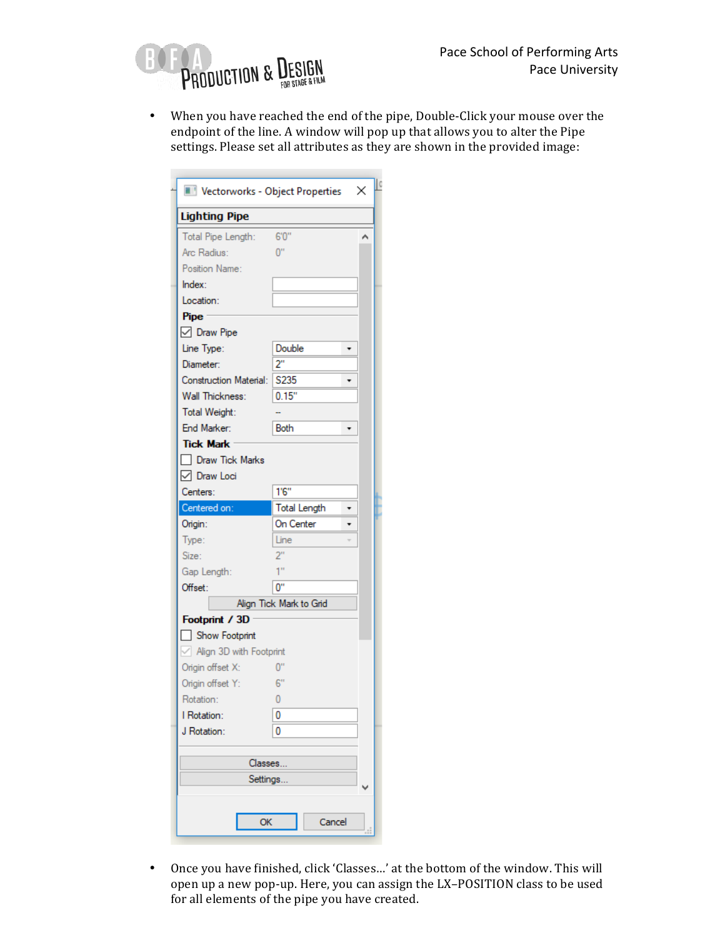

• When you have reached the end of the pipe, Double-Click your mouse over the endpoint of the line. A window will pop up that allows you to alter the Pipe settings. Please set all attributes as they are shown in the provided image:

| Vectorworks - Object Properties |                     |  | × |  |
|---------------------------------|---------------------|--|---|--|
| <b>Lighting Pipe</b>            |                     |  |   |  |
| Total Pipe Length:              | 6'0"                |  | Α |  |
| Arc Radius:                     | $0$ "               |  |   |  |
| Position Name:                  |                     |  |   |  |
| Index:                          |                     |  |   |  |
| Location:                       |                     |  |   |  |
| Pipe:                           |                     |  |   |  |
| □ Draw Pipe                     |                     |  |   |  |
| Line Type:                      | Double              |  |   |  |
| Diameter:                       | 2"                  |  |   |  |
| <b>Construction Material:</b>   | S <sub>2</sub> 35   |  |   |  |
| Wall Thickness:                 | 0.15"               |  |   |  |
| Total Weight:                   |                     |  |   |  |
| End Marker:                     | Both                |  |   |  |
| <b>Tick Mark</b>                |                     |  |   |  |
| Draw Tick Marks                 |                     |  |   |  |
| □ Draw Loci                     |                     |  |   |  |
| Centers:                        | 1'6''               |  |   |  |
| Centered on:                    | <b>Total Length</b> |  |   |  |
| Origin:                         | On Center           |  |   |  |
| Type:                           | Line                |  |   |  |
| Size:                           | 2"                  |  |   |  |
| Gap Length:                     | 1"                  |  |   |  |
| Offset:                         | $0^{\prime\prime}$  |  |   |  |
| Align Tick Mark to Grid         |                     |  |   |  |
| Footprint / 3D                  |                     |  |   |  |
| Show Footprint                  |                     |  |   |  |
| $\vee$ Align 3D with Footprint  |                     |  |   |  |
| Origin offset X:                | $0^{\circ}$         |  |   |  |
| 6"<br>Origin offset Y:          |                     |  |   |  |
| Rotation:<br>0                  |                     |  |   |  |
| I Rotation:<br>0                |                     |  |   |  |
| J Rotation:                     | 0                   |  |   |  |
|                                 |                     |  |   |  |
| Classes                         |                     |  |   |  |
| Settings                        |                     |  |   |  |
|                                 |                     |  |   |  |
|                                 |                     |  |   |  |
| <b>OK</b>                       | Cancel              |  | đ |  |
|                                 |                     |  |   |  |

• Once you have finished, click 'Classes...' at the bottom of the window. This will open up a new pop-up. Here, you can assign the LX-POSITION class to be used for all elements of the pipe you have created.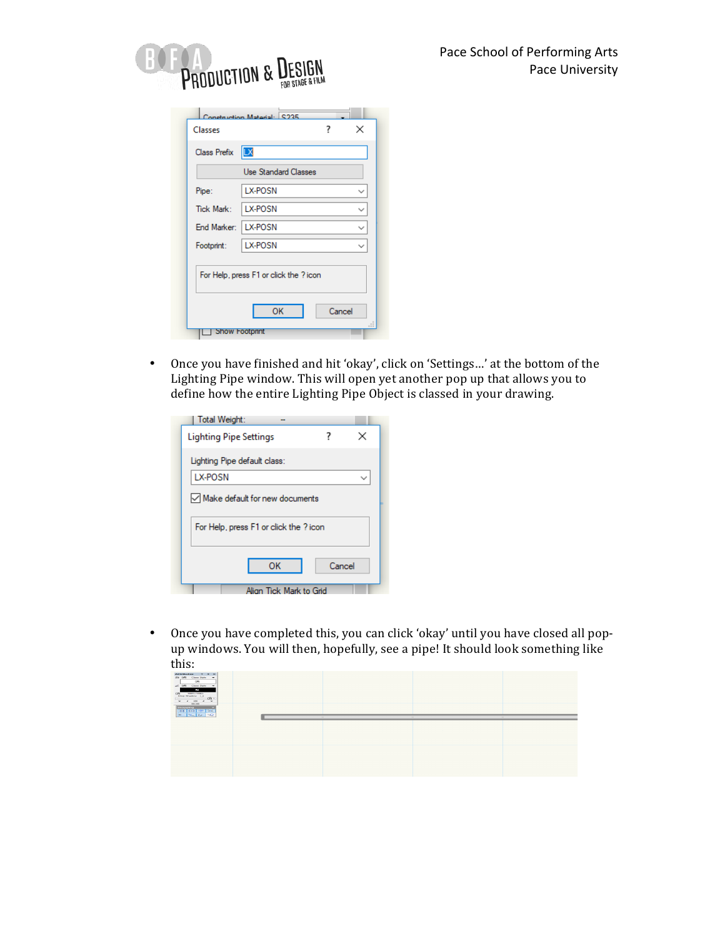

|                       | <b>Use Standard Classes</b> |              |
|-----------------------|-----------------------------|--------------|
| Pipe:                 | LX-POSN                     | $\checkmark$ |
| <b>Tick Mark:</b>     | LX-POSN                     | ◡            |
| End Marker:   LX-POSN |                             | $\checkmark$ |
| Footprint:            | LX-POSN                     | $\checkmark$ |

• Once you have finished and hit 'okay', click on 'Settings...' at the bottom of the Lighting Pipe window. This will open yet another pop up that allows you to define how the entire Lighting Pipe Object is classed in your drawing.

| Total Weight:                          |  |  |  |
|----------------------------------------|--|--|--|
| ×<br><b>Lighting Pipe Settings</b>     |  |  |  |
| Lighting Pipe default class:           |  |  |  |
| LX-POSN                                |  |  |  |
| Make default for new documents         |  |  |  |
| For Help, press F1 or click the ? icon |  |  |  |
| OK<br>Cancel                           |  |  |  |
| Alian Tick Mark to Grid                |  |  |  |

• Once you have completed this, you can click 'okay' until you have closed all popup windows. You will then, hopefully, see a pipe! It should look something like this:

| Attributes ? # =<br>25 (25 Class Style =<br>$\sim$<br>all DEI Class State - w<br>ä,<br>DE 100%/100%<br>Drop Shadow [3]<br><b>Contract</b><br>$\sim$ $\sim$ $\sim$ $\sim$ $\sim$<br>$\sim$ $\sim$ $\sim$ $\sim$ $\sim$<br><b>CONTRACTOR</b><br>Snapping<br><b>HERE</b> | $\sim$ | $\sim$ |  |
|-----------------------------------------------------------------------------------------------------------------------------------------------------------------------------------------------------------------------------------------------------------------------|--------|--------|--|
|                                                                                                                                                                                                                                                                       |        |        |  |
|                                                                                                                                                                                                                                                                       |        |        |  |